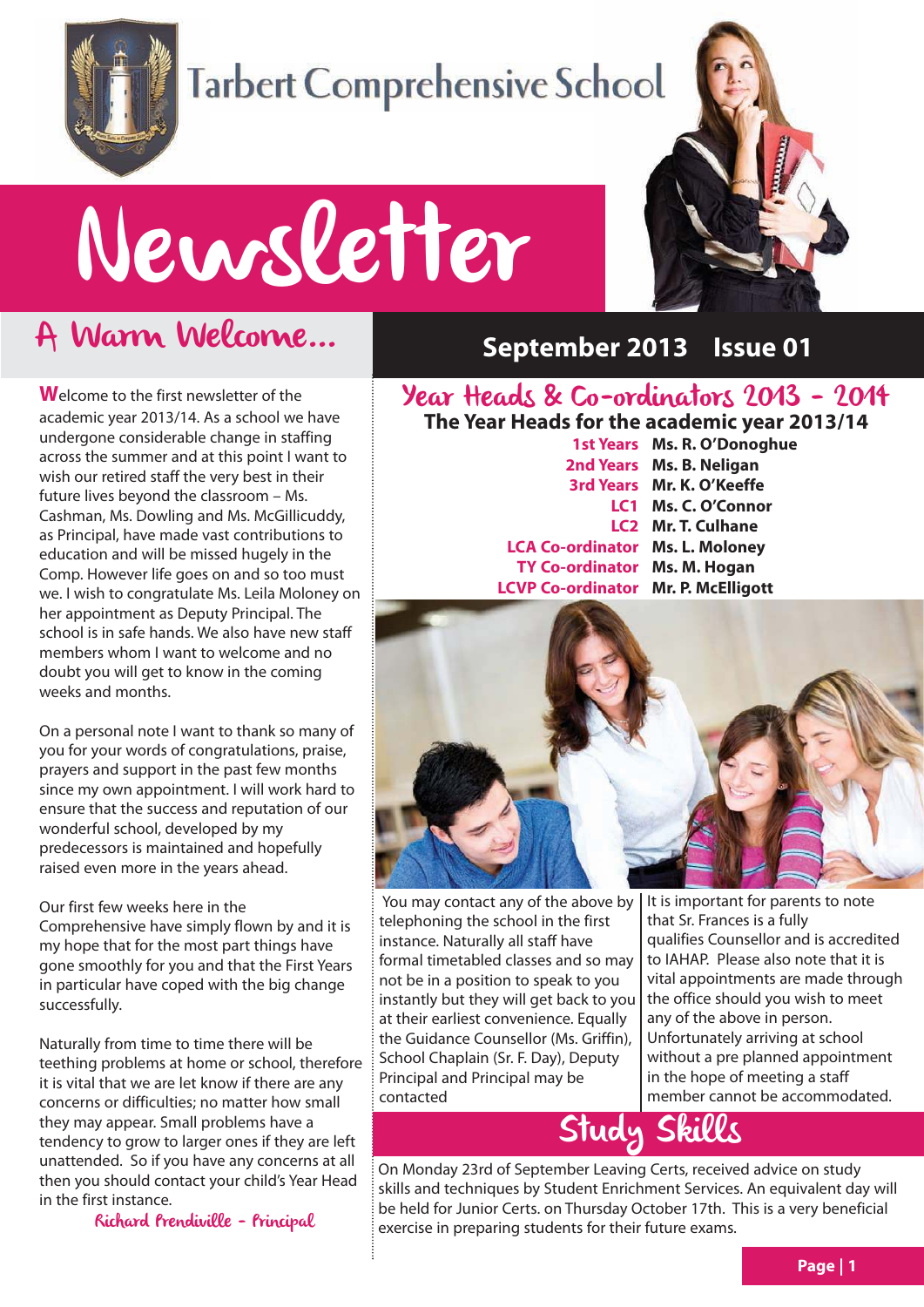

# **Tarbert Comprehensive School**

# Newsletter

# A Warm Welcome...

**W**elcome to the first newsletter of the academic year 2013/14. As a school we have undergone considerable change in staffing across the summer and at this point I want to wish our retired staff the very best in their future lives beyond the classroom – Ms. Cashman, Ms. Dowling and Ms. McGillicuddy, as Principal, have made vast contributions to education and will be missed hugely in the Comp. However life goes on and so too must we. I wish to congratulate Ms. Leila Moloney on her appointment as Deputy Principal. The school is in safe hands. We also have new staff members whom I want to welcome and no doubt you will get to know in the coming weeks and months.

On a personal note I want to thank so many of you for your words of congratulations, praise, prayers and support in the past few months since my own appointment. I will work hard to ensure that the success and reputation of our wonderful school, developed by my predecessors is maintained and hopefully raised even more in the years ahead.

Our first few weeks here in the Comprehensive have simply flown by and it is my hope that for the most part things have gone smoothly for you and that the First Years in particular have coped with the big change successfully.

Naturally from time to time there will be teething problems at home or school, therefore it is vital that we are let know if there are any concerns or difficulties; no matter how small they may appear. Small problems have a tendency to grow to larger ones if they are left unattended. So if you have any concerns at all then you should contact your child's Year Head in the first instance.

Richard Prendiville - Principal



#### **September 2013 Issue 01**

## Year Heads & Co-ordinators 2013 - 2014

**The Year Heads for the academic year 2013/14 1st Years Ms. R. O'Donoghue 2nd Years Ms. B. Neligan 3rd Years Mr. K. O'Keeffe LC1 Ms. C. O'Connor LC2 Mr. T. Culhane LCA Co-ordinator Ms. L. Moloney TY Co-ordinator Ms. M. Hogan LCVP Co-ordinator Mr. P. McElligott**



You may contact any of the above by telephoning the school in the first instance. Naturally all staff have formal timetabled classes and so may not be in a position to speak to you instantly but they will get back to you at their earliest convenience. Equally the Guidance Counsellor (Ms. Griffin), School Chaplain (Sr. F. Day), Deputy Principal and Principal may be contacted

It is important for parents to note that Sr. Frances is a fully qualifies Counsellor and is accredited to IAHAP. Please also note that it is vital appointments are made through the office should you wish to meet any of the above in person. Unfortunately arriving at school without a pre planned appointment in the hope of meeting a staff member cannot be accommodated.

# Study Skills

On Monday 23rd of September Leaving Certs, received advice on study skills and techniques by Student Enrichment Services. An equivalent day will be held for Junior Certs. on Thursday October 17th. This is a very beneficial exercise in preparing students for their future exams.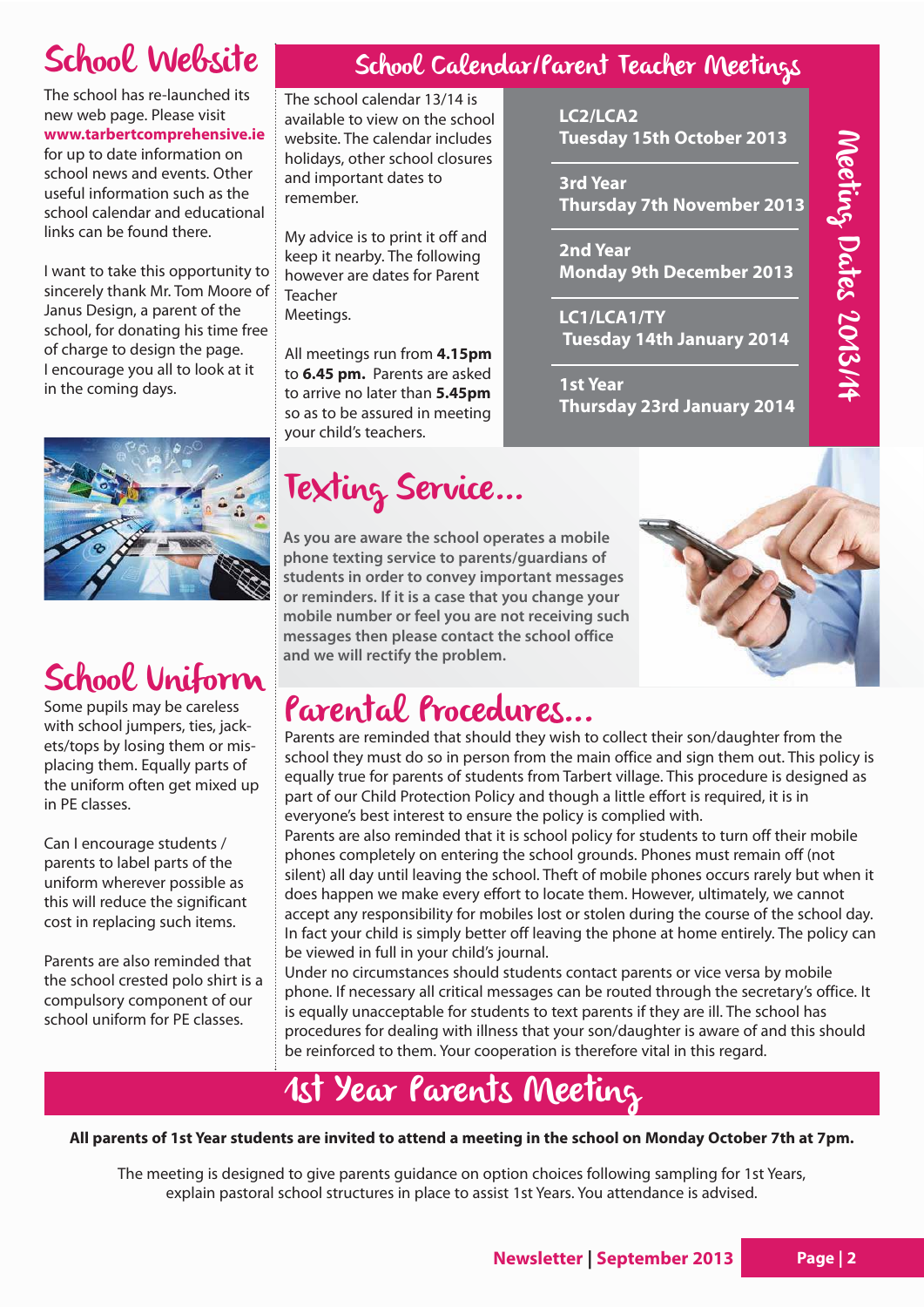# School Website

The school has re-launched its new web page. Please visit **www.tarbertcomprehensive.ie** for up to date information on school news and events. Other useful information such as the school calendar and educational links can be found there.

I want to take this opportunity to sincerely thank Mr. Tom Moore of Janus Design, a parent of the school, for donating his time free of charge to design the page. I encourage you all to look at it in the coming days.



# School Uniform

Some pupils may be careless with school jumpers, ties, jackets/tops by losing them or misplacing them. Equally parts of the uniform often get mixed up in PE classes.

Can I encourage students / parents to label parts of the uniform wherever possible as this will reduce the significant cost in replacing such items.

Parents are also reminded that the school crested polo shirt is a compulsory component of our school uniform for PE classes.

### School Calendar/Parent Teacher Meetings

**LC2/LCA2** 

**3rd Year** 

**2nd Year**

**1st Year** 

**LC1/LCA1/TY**

**Tuesday 15th October 2013**

**Thursday 7th November 2013**

**Monday 9th December 2013**

**Tuesday 14th January 2014**

**Thursday 23rd January 2014**

The school calendar 13/14 is available to view on the school website. The calendar includes holidays, other school closures and important dates to remember.

My advice is to print it off and keep it nearby. The following however are dates for Parent Teacher Meetings.

All meetings run from **4.15pm** to **6.45 pm.** Parents are asked to arrive no later than **5.45pm** so as to be assured in meeting your child's teachers.

# Texting Service...

**As you are aware the school operates a mobile phone texting service to parents/guardians of students in order to convey important messages or reminders. If it is a case that you change your mobile number or feel you are not receiving such messages then please contact the school office and we will rectify the problem.**



# Parental Procedures...

Parents are reminded that should they wish to collect their son/daughter from the school they must do so in person from the main office and sign them out. This policy is equally true for parents of students from Tarbert village. This procedure is designed as part of our Child Protection Policy and though a little effort is required, it is in everyone's best interest to ensure the policy is complied with.

Parents are also reminded that it is school policy for students to turn off their mobile phones completely on entering the school grounds. Phones must remain off (not silent) all day until leaving the school. Theft of mobile phones occurs rarely but when it does happen we make every effort to locate them. However, ultimately, we cannot accept any responsibility for mobiles lost or stolen during the course of the school day. In fact your child is simply better off leaving the phone at home entirely. The policy can be viewed in full in your child's journal.

Under no circumstances should students contact parents or vice versa by mobile phone. If necessary all critical messages can be routed through the secretary's office. It is equally unacceptable for students to text parents if they are ill. The school has procedures for dealing with illness that your son/daughter is aware of and this should be reinforced to them. Your cooperation is therefore vital in this regard.

# 1st Year Parents Meeting

#### **All parents of 1st Year students are invited to attend a meeting in the school on Monday October 7th at 7pm.**

The meeting is designed to give parents guidance on option choices following sampling for 1st Years, explain pastoral school structures in place to assist 1st Years. You attendance is advised.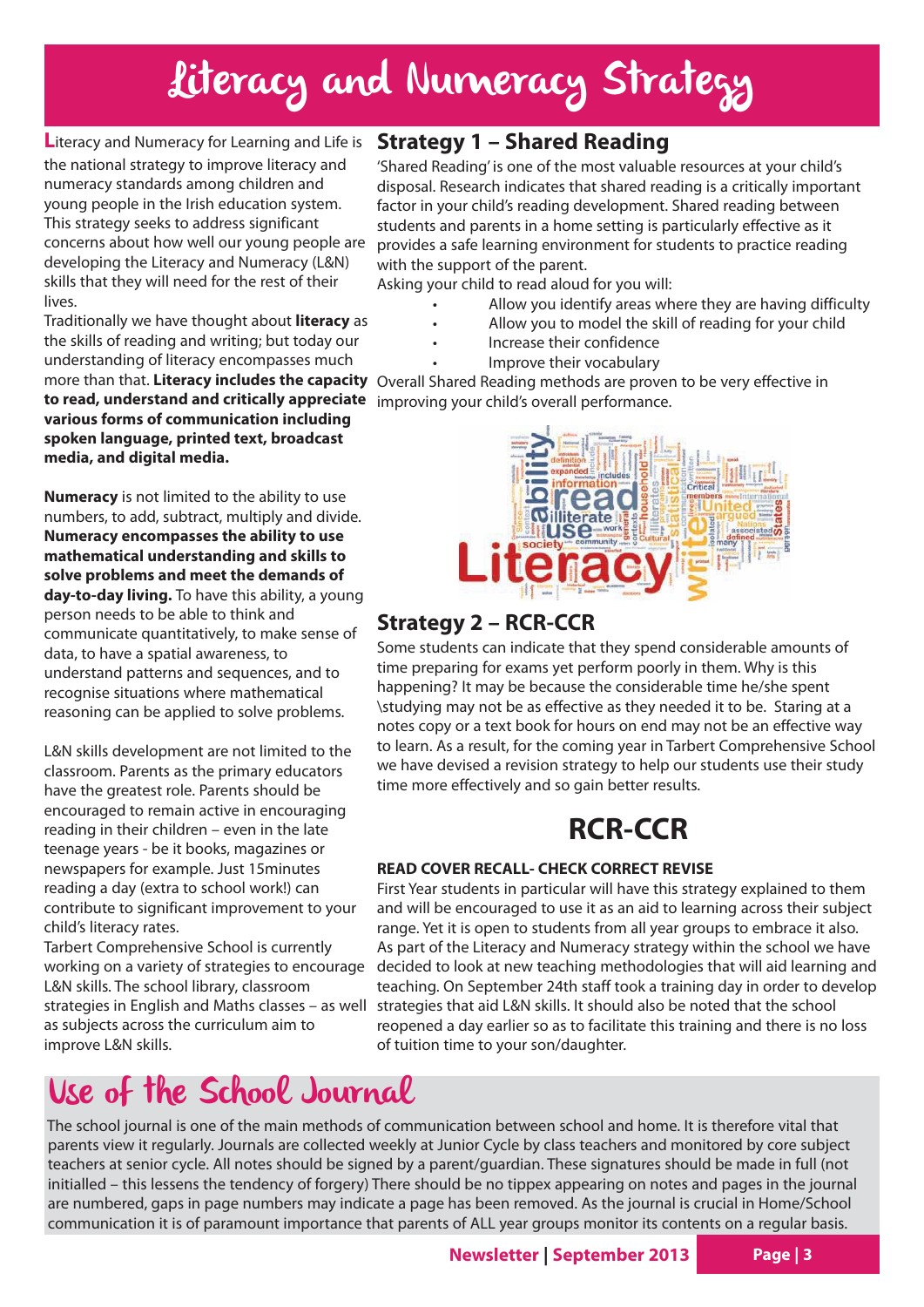# Literacy and Numeracy Strategy

**L**iteracy and Numeracy for Learning and Life is the national strategy to improve literacy and numeracy standards among children and young people in the Irish education system. This strategy seeks to address significant concerns about how well our young people are developing the Literacy and Numeracy (L&N) skills that they will need for the rest of their lives.

Traditionally we have thought about **literacy** as the skills of reading and writing; but today our understanding of literacy encompasses much **to read, understand and critically appreciate** improving your child's overall performance. **various forms of communication including spoken language, printed text, broadcast media, and digital media.**

**Numeracy** is not limited to the ability to use numbers, to add, subtract, multiply and divide. **Numeracy encompasses the ability to use mathematical understanding and skills to solve problems and meet the demands of day-to-day living.** To have this ability, a young person needs to be able to think and communicate quantitatively, to make sense of data, to have a spatial awareness, to understand patterns and sequences, and to recognise situations where mathematical reasoning can be applied to solve problems.

L&N skills development are not limited to the classroom. Parents as the primary educators have the greatest role. Parents should be encouraged to remain active in encouraging reading in their children – even in the late teenage years - be it books, magazines or newspapers for example. Just 15minutes reading a day (extra to school work!) can contribute to significant improvement to your child's literacy rates.

Tarbert Comprehensive School is currently working on a variety of strategies to encourage L&N skills. The school library, classroom as subjects across the curriculum aim to improve L&N skills.

strategies in English and Maths classes – as well

# Use of the School Journal

#### **Strategy 1 – Shared Reading**

'Shared Reading' is one of the most valuable resources at your child's disposal. Research indicates that shared reading is a critically important factor in your child's reading development. Shared reading between students and parents in a home setting is particularly effective as it provides a safe learning environment for students to practice reading with the support of the parent.

Asking your child to read aloud for you will:

- Allow you identify areas where they are having difficulty
- Allow you to model the skill of reading for your child
- Increase their confidence
- Improve their vocabulary

more than that. **Literacy includes the capacity** Overall Shared Reading methods are proven to be very effective in



#### **Strategy 2 – RCR-CCR**

Some students can indicate that they spend considerable amounts of time preparing for exams yet perform poorly in them. Why is this happening? It may be because the considerable time he/she spent \studying may not be as effective as they needed it to be. Staring at a notes copy or a text book for hours on end may not be an effective way to learn. As a result, for the coming year in Tarbert Comprehensive School we have devised a revision strategy to help our students use their study time more effectively and so gain better results.

## **RCR-CCR**

#### **READ COVER RECALL- CHECK CORRECT REVISE**

First Year students in particular will have this strategy explained to them and will be encouraged to use it as an aid to learning across their subject range. Yet it is open to students from all year groups to embrace it also. As part of the Literacy and Numeracy strategy within the school we have decided to look at new teaching methodologies that will aid learning and teaching. On September 24th staff took a training day in order to develop strategies that aid L&N skills. It should also be noted that the school reopened a day earlier so as to facilitate this training and there is no loss of tuition time to your son/daughter.

The school journal is one of the main methods of communication between school and home. It is therefore vital that parents view it regularly. Journals are collected weekly at Junior Cycle by class teachers and monitored by core subject teachers at senior cycle. All notes should be signed by a parent/guardian. These signatures should be made in full (not initialled – this lessens the tendency of forgery) There should be no tippex appearing on notes and pages in the journal are numbered, gaps in page numbers may indicate a page has been removed. As the journal is crucial in Home/School communication it is of paramount importance that parents of ALL year groups monitor its contents on a regular basis.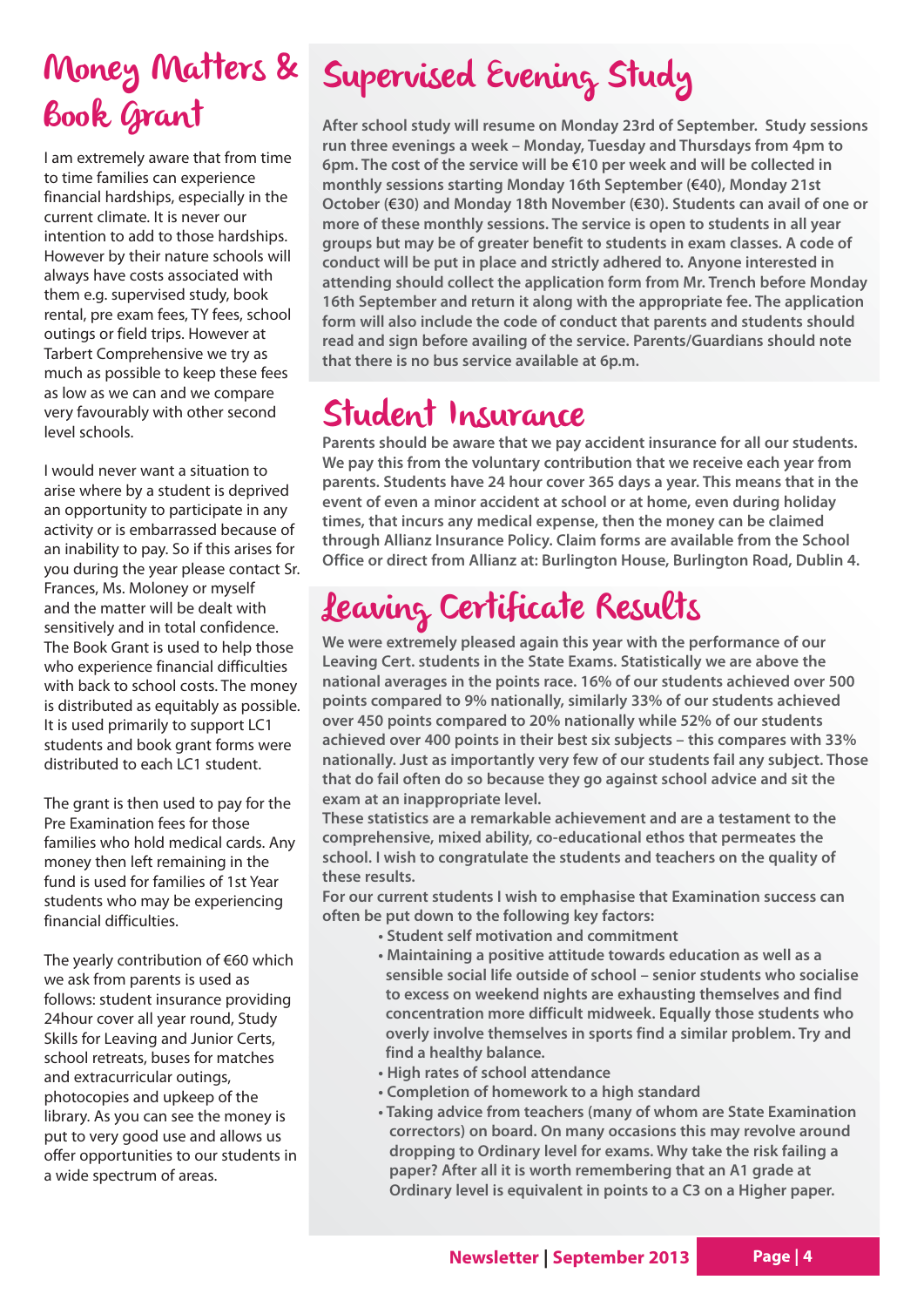# Book Grant

I am extremely aware that from time to time families can experience financial hardships, especially in the current climate. It is never our intention to add to those hardships. However by their nature schools will always have costs associated with them e.g. supervised study, book rental, pre exam fees, TY fees, school outings or field trips. However at Tarbert Comprehensive we try as much as possible to keep these fees as low as we can and we compare very favourably with other second level schools.

I would never want a situation to arise where by a student is deprived an opportunity to participate in any activity or is embarrassed because of an inability to pay. So if this arises for you during the year please contact Sr. Frances, Ms. Moloney or myself and the matter will be dealt with sensitively and in total confidence. The Book Grant is used to help those who experience financial difficulties with back to school costs. The money is distributed as equitably as possible. It is used primarily to support LC1 students and book grant forms were distributed to each LC1 student.

The grant is then used to pay for the Pre Examination fees for those families who hold medical cards. Any money then left remaining in the fund is used for families of 1st Year students who may be experiencing financial difficulties.

The yearly contribution of €60 which we ask from parents is used as follows: student insurance providing 24hour cover all year round, Study Skills for Leaving and Junior Certs, school retreats, buses for matches and extracurricular outings, photocopies and upkeep of the library. As you can see the money is put to very good use and allows us offer opportunities to our students in a wide spectrum of areas.

# Money Matters & Supervised Evening Study

**After school study will resume on Monday 23rd of September. Study sessions run three evenings a week – Monday, Tuesday and Thursdays from 4pm to 6pm. The cost of the service will be** €**10 per week and will be collected in monthly sessions starting Monday 16th September (**€**40), Monday 21st October (**€**30) and Monday 18th November (**€**30). Students can avail of one or more of these monthly sessions. The service is open to students in all year groups but may be of greater benefit to students in exam classes. A code of conduct will be put in place and strictly adhered to. Anyone interested in attending should collect the application form from Mr. Trench before Monday 16th September and return it along with the appropriate fee. The application form will also include the code of conduct that parents and students should read and sign before availing of the service. Parents/Guardians should note that there is no bus service available at 6p.m.**

# Student Insurance

**Parents should be aware that we pay accident insurance for all our students. We pay this from the voluntary contribution that we receive each year from parents. Students have 24 hour cover 365 days a year. This means that in the event of even a minor accident at school or at home, even during holiday times, that incurs any medical expense, then the money can be claimed through Allianz Insurance Policy. Claim forms are available from the School Office or direct from Allianz at: Burlington House, Burlington Road, Dublin 4.**

# Leaving Certificate Results

**We were extremely pleased again this year with the performance of our Leaving Cert. students in the State Exams. Statistically we are above the national averages in the points race. 16% of our students achieved over 500 points compared to 9% nationally, similarly 33% of our students achieved over 450 points compared to 20% nationally while 52% of our students achieved over 400 points in their best six subjects – this compares with 33% nationally. Just as importantly very few of our students fail any subject. Those that do fail often do so because they go against school advice and sit the exam at an inappropriate level.** 

**These statistics are a remarkable achievement and are a testament to the comprehensive, mixed ability, co-educational ethos that permeates the school. I wish to congratulate the students and teachers on the quality of these results.** 

**For our current students I wish to emphasise that Examination success can often be put down to the following key factors:**

- **Student self motivation and commitment**
- **Maintaining a positive attitude towards education as well as a sensible social life outside of school – senior students who socialise to excess on weekend nights are exhausting themselves and find concentration more difficult midweek. Equally those students who overly involve themselves in sports find a similar problem. Try and find a healthy balance.**
- **High rates of school attendance**
- **Completion of homework to a high standard**
- **Taking advice from teachers (many of whom are State Examination correctors) on board. On many occasions this may revolve around dropping to Ordinary level for exams. Why take the risk failing a paper? After all it is worth remembering that an A1 grade at Ordinary level is equivalent in points to a C3 on a Higher paper.**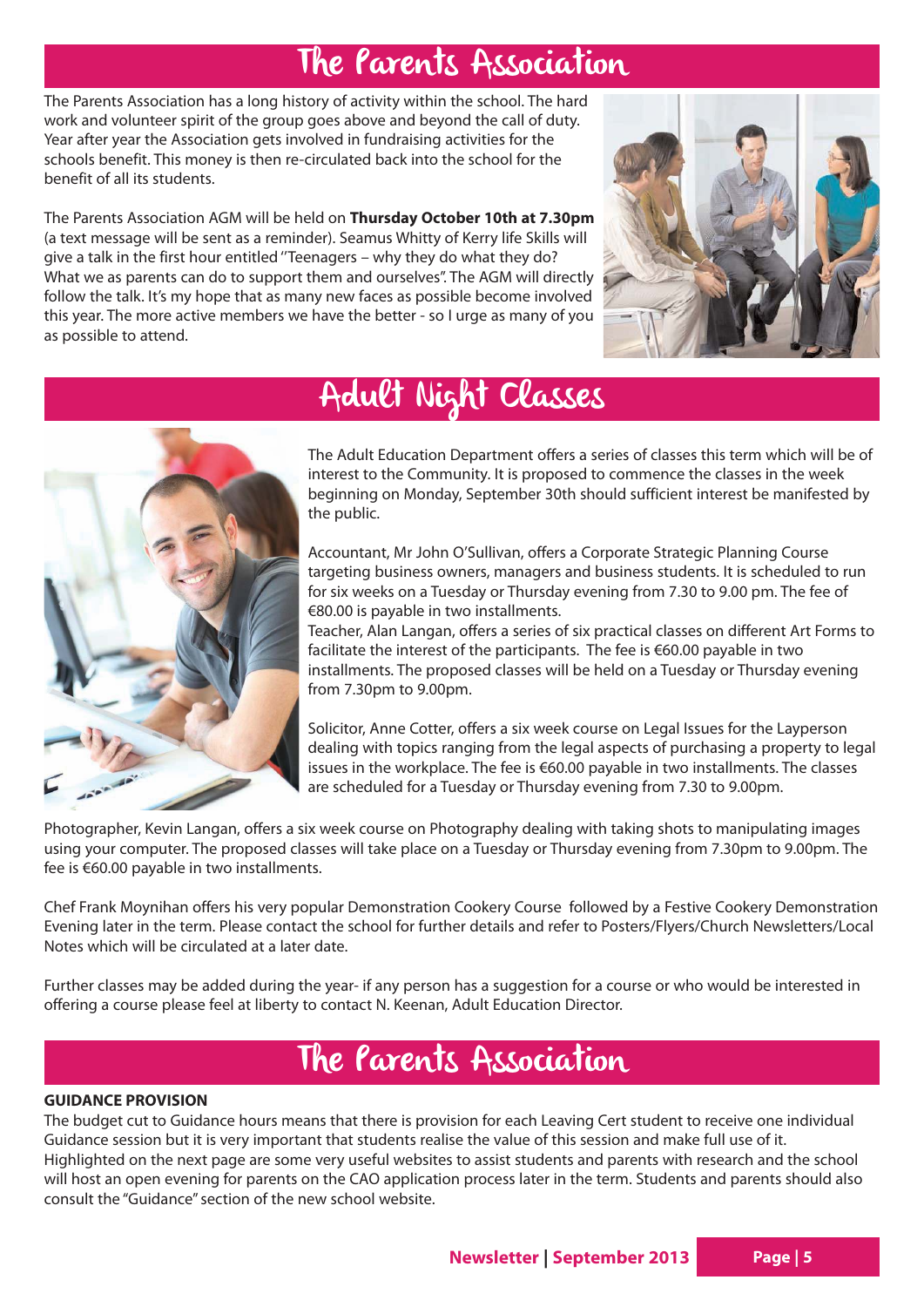## The Parents Association

The Parents Association has a long history of activity within the school. The hard work and volunteer spirit of the group goes above and beyond the call of duty. Year after year the Association gets involved in fundraising activities for the schools benefit. This money is then re-circulated back into the school for the benefit of all its students.

The Parents Association AGM will be held on **Thursday October 10th at 7.30pm** (a text message will be sent as a reminder). Seamus Whitty of Kerry life Skills will give a talk in the first hour entitled ''Teenagers – why they do what they do? What we as parents can do to support them and ourselves". The AGM will directly follow the talk. It's my hope that as many new faces as possible become involved this year. The more active members we have the better - so I urge as many of you as possible to attend.





# Adult Night Classes

The Adult Education Department offers a series of classes this term which will be of interest to the Community. It is proposed to commence the classes in the week beginning on Monday, September 30th should sufficient interest be manifested by the public.

Accountant, Mr John O'Sullivan, offers a Corporate Strategic Planning Course targeting business owners, managers and business students. It is scheduled to run for six weeks on a Tuesday or Thursday evening from 7.30 to 9.00 pm. The fee of €80.00 is payable in two installments.

Teacher, Alan Langan, offers a series of six practical classes on different Art Forms to facilitate the interest of the participants. The fee is €60.00 payable in two installments. The proposed classes will be held on a Tuesday or Thursday evening from 7.30pm to 9.00pm.

Solicitor, Anne Cotter, offers a six week course on Legal Issues for the Layperson dealing with topics ranging from the legal aspects of purchasing a property to legal issues in the workplace. The fee is €60.00 payable in two installments. The classes are scheduled for a Tuesday or Thursday evening from 7.30 to 9.00pm.

Photographer, Kevin Langan, offers a six week course on Photography dealing with taking shots to manipulating images using your computer. The proposed classes will take place on a Tuesday or Thursday evening from 7.30pm to 9.00pm. The fee is €60.00 payable in two installments.

Chef Frank Moynihan offers his very popular Demonstration Cookery Course followed by a Festive Cookery Demonstration Evening later in the term. Please contact the school for further details and refer to Posters/Flyers/Church Newsletters/Local Notes which will be circulated at a later date.

Further classes may be added during the year- if any person has a suggestion for a course or who would be interested in offering a course please feel at liberty to contact N. Keenan, Adult Education Director.

# The Parents Association

#### **GUIDANCE PROVISION**

The budget cut to Guidance hours means that there is provision for each Leaving Cert student to receive one individual Guidance session but it is very important that students realise the value of this session and make full use of it. Highlighted on the next page are some very useful websites to assist students and parents with research and the school will host an open evening for parents on the CAO application process later in the term. Students and parents should also consult the "Guidance" section of the new school website.